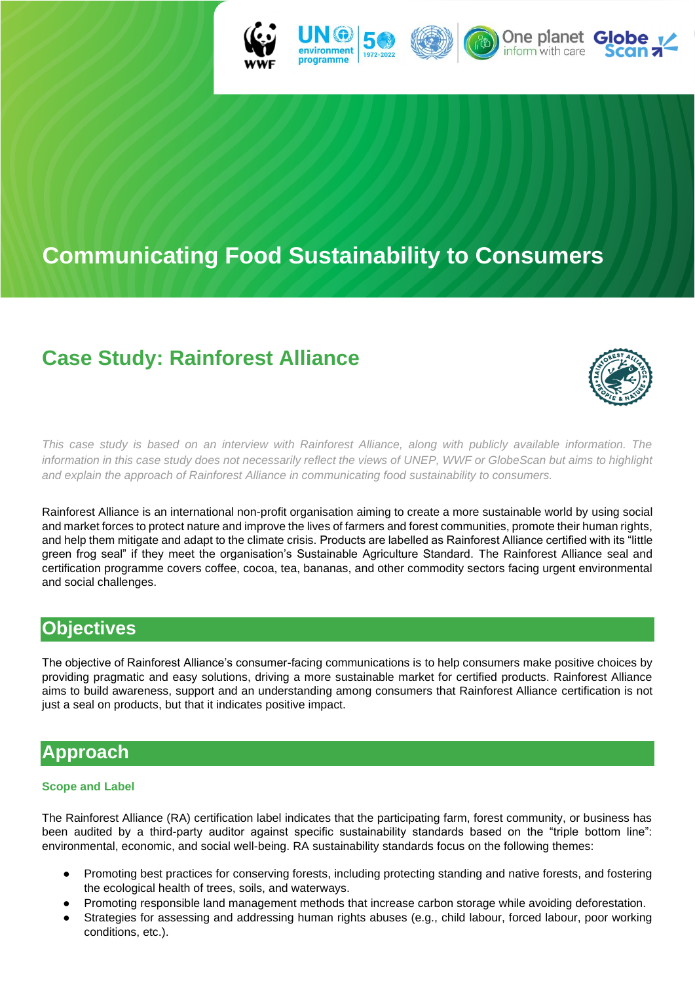

# **Communicating Food Sustainability to Consumers**

# **Case Study: Rainforest Alliance**



*This case study is based on an interview with Rainforest Alliance, along with publicly available information. The information in this case study does not necessarily reflect the views of UNEP, WWF or GlobeScan but aims to highlight and explain the approach of Rainforest Alliance in communicating food sustainability to consumers.*

Rainforest Alliance is an international non-profit organisation aiming to create a more sustainable world by using social and market forces to protect nature and improve the lives of farmers and forest communities, promote their human rights, and help them mitigate and adapt to the climate crisis. Products are labelled as Rainforest Alliance certified with its "little green frog seal" if they meet the organisation's Sustainable Agriculture Standard. The Rainforest Alliance seal and certification programme covers coffee, cocoa, tea, bananas, and other commodity sectors facing urgent environmental and social challenges.

### **Objectives**

The objective of Rainforest Alliance's consumer-facing communications is to help consumers make positive choices by providing pragmatic and easy solutions, driving a more sustainable market for certified products. Rainforest Alliance aims to build awareness, support and an understanding among consumers that Rainforest Alliance certification is not just a seal on products, but that it indicates positive impact.

## **Approach**

#### **Scope and Label**

The Rainforest Alliance (RA) certification label indicates that the participating farm, forest community, or business has been audited by a third-party auditor against specific sustainability standards based on the "triple bottom line": environmental, economic, and social well-being. RA sustainability standards focus on the following themes:

- Promoting best practices for conserving forests, including protecting standing and native forests, and fostering the ecological health of trees, soils, and waterways.
- Promoting responsible land management methods that increase carbon storage while avoiding deforestation.
- Strategies for assessing and addressing human rights abuses (e.g., child labour, forced labour, poor working conditions, etc.).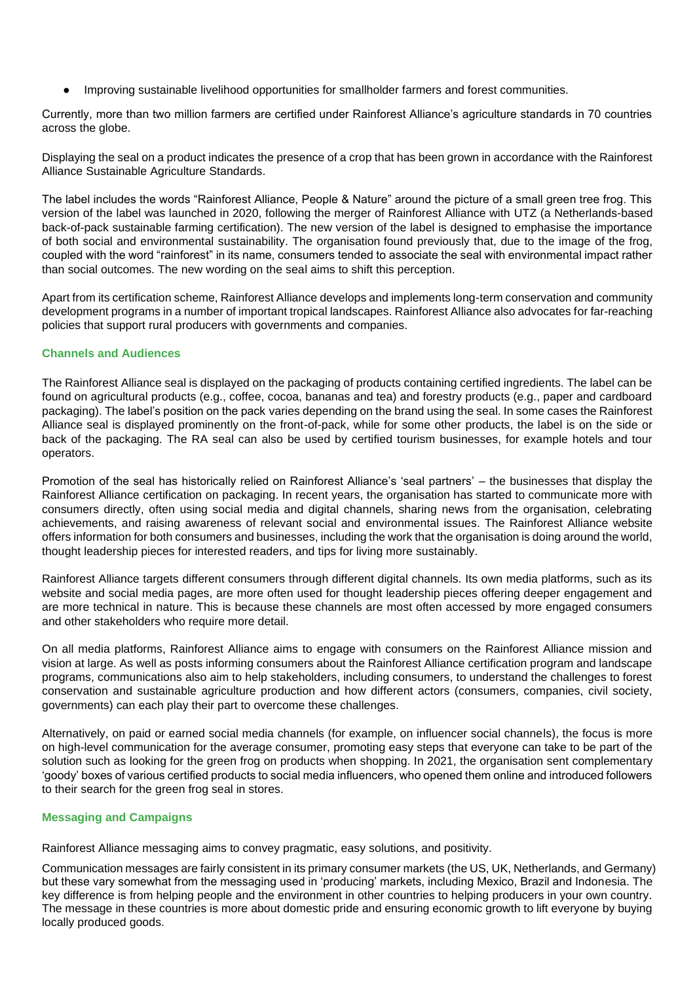Improving sustainable livelihood opportunities for smallholder farmers and forest communities.

Currently, more than two million farmers are certified under Rainforest Alliance's agriculture standards in 70 countries across the globe.

Displaying the seal on a product indicates the presence of a crop that has been grown in accordance with the Rainforest Alliance Sustainable Agriculture Standards.

The label includes the words "Rainforest Alliance, People & Nature" around the picture of a small green tree frog. This version of the label was launched in 2020, following the merger of Rainforest Alliance with UTZ (a Netherlands-based back-of-pack sustainable farming certification). The new version of the label is designed to emphasise the importance of both social and environmental sustainability. The organisation found previously that, due to the image of the frog, coupled with the word "rainforest" in its name, consumers tended to associate the seal with environmental impact rather than social outcomes. The new wording on the seal aims to shift this perception.

Apart from its certification scheme, Rainforest Alliance develops and implements long-term conservation and community development programs in a number of important tropical landscapes. Rainforest Alliance also advocates for far-reaching policies that support rural producers with governments and companies.

#### **Channels and Audiences**

The Rainforest Alliance seal is displayed on the packaging of products containing certified ingredients. The label can be found on agricultural products (e.g., coffee, cocoa, bananas and tea) and forestry products (e.g., paper and cardboard packaging). The label's position on the pack varies depending on the brand using the seal. In some cases the Rainforest Alliance seal is displayed prominently on the front-of-pack, while for some other products, the label is on the side or back of the packaging. The RA seal can also be used by certified tourism businesses, for example hotels and tour operators.

Promotion of the seal has historically relied on Rainforest Alliance's 'seal partners' – the businesses that display the Rainforest Alliance certification on packaging. In recent years, the organisation has started to communicate more with consumers directly, often using social media and digital channels, sharing news from the organisation, celebrating achievements, and raising awareness of relevant social and environmental issues. The Rainforest Alliance website offers information for both consumers and businesses, including the work that the organisation is doing around the world, thought leadership pieces for interested readers, and tips for living more sustainably.

Rainforest Alliance targets different consumers through different digital channels. Its own media platforms, such as its website and social media pages, are more often used for thought leadership pieces offering deeper engagement and are more technical in nature. This is because these channels are most often accessed by more engaged consumers and other stakeholders who require more detail.

On all media platforms, Rainforest Alliance aims to engage with consumers on the Rainforest Alliance mission and vision at large. As well as posts informing consumers about the Rainforest Alliance certification program and landscape programs, communications also aim to help stakeholders, including consumers, to understand the challenges to forest conservation and sustainable agriculture production and how different actors (consumers, companies, civil society, governments) can each play their part to overcome these challenges.

Alternatively, on paid or earned social media channels (for example, on influencer social channels), the focus is more on high-level communication for the average consumer, promoting easy steps that everyone can take to be part of the solution such as looking for the green frog on products when shopping. In 2021, the organisation sent complementary 'goody' boxes of various certified products to social media influencers, who opened them online and introduced followers to their search for the green frog seal in stores.

#### **Messaging and Campaigns**

Rainforest Alliance messaging aims to convey pragmatic, easy solutions, and positivity.

Communication messages are fairly consistent in its primary consumer markets (the US, UK, Netherlands, and Germany) but these vary somewhat from the messaging used in 'producing' markets, including Mexico, Brazil and Indonesia. The key difference is from helping people and the environment in other countries to helping producers in your own country. The message in these countries is more about domestic pride and ensuring economic growth to lift everyone by buying locally produced goods.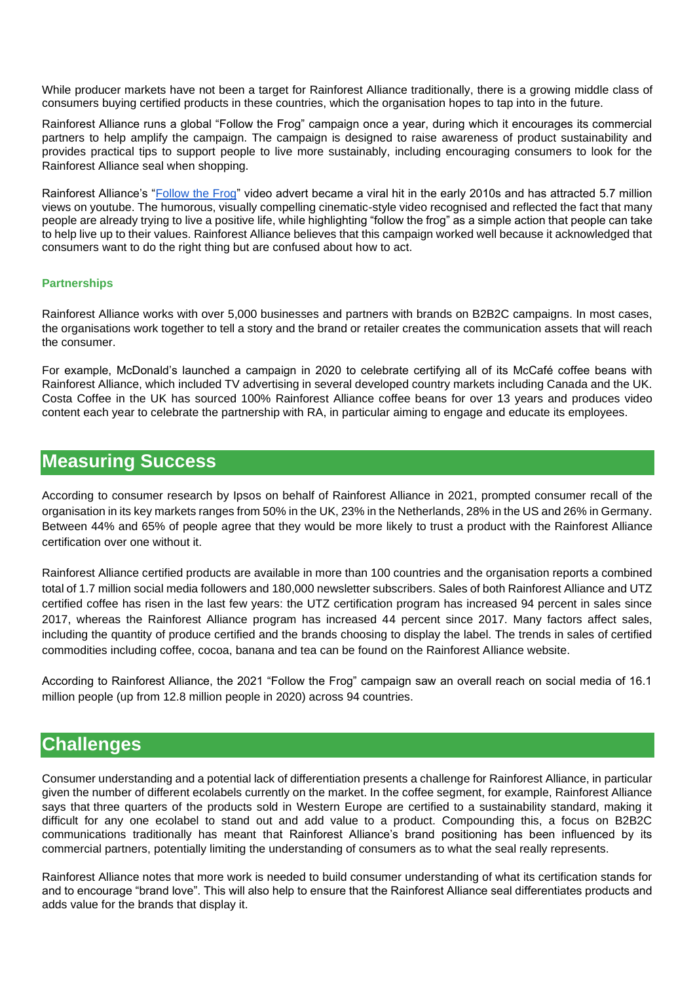While producer markets have not been a target for Rainforest Alliance traditionally, there is a growing middle class of consumers buying certified products in these countries, which the organisation hopes to tap into in the future.

Rainforest Alliance runs a global "Follow the Frog" campaign once a year, during which it encourages its commercial partners to help amplify the campaign. The campaign is designed to raise awareness of product sustainability and provides practical tips to support people to live more sustainably, including encouraging consumers to look for the Rainforest Alliance seal when shopping.

Rainforest Alliance's ["Follow the Frog"](https://www.youtube.com/watch?v=EmF701R4JCU) video advert became a viral hit in the early 2010s and has attracted 5.7 million views on youtube. The humorous, visually compelling cinematic-style video recognised and reflected the fact that many people are already trying to live a positive life, while highlighting "follow the frog" as a simple action that people can take to help live up to their values. Rainforest Alliance believes that this campaign worked well because it acknowledged that consumers want to do the right thing but are confused about how to act.

#### **Partnerships**

Rainforest Alliance works with over 5,000 businesses and partners with brands on B2B2C campaigns. In most cases, the organisations work together to tell a story and the brand or retailer creates the communication assets that will reach the consumer.

For example, McDonald's launched a campaign in 2020 to celebrate certifying all of its McCafé coffee beans with Rainforest Alliance, which included TV advertising in several developed country markets including Canada and the UK. Costa Coffee in the UK has sourced 100% Rainforest Alliance coffee beans for over 13 years and produces video content each year to celebrate the partnership with RA, in particular aiming to engage and educate its employees.

### **Measuring Success**

According to consumer research by Ipsos on behalf of Rainforest Alliance in 2021, prompted consumer recall of the organisation in its key markets ranges from 50% in the UK, 23% in the Netherlands, 28% in the US and 26% in Germany. Between 44% and 65% of people agree that they would be more likely to trust a product with the Rainforest Alliance certification over one without it.

Rainforest Alliance certified products are available in more than 100 countries and the organisation reports a combined total of 1.7 million social media followers and 180,000 newsletter subscribers. Sales of both Rainforest Alliance and UTZ certified coffee has risen in the last few years: the UTZ certification program has increased 94 percent in sales since 2017, whereas the Rainforest Alliance program has increased 44 percent since 2017. Many factors affect sales, including the quantity of produce certified and the brands choosing to display the label. The trends in sales of certified commodities including coffee, cocoa, banana and tea can be found on the Rainforest Alliance website.

According to Rainforest Alliance, the 2021 "Follow the Frog" campaign saw an overall reach on social media of 16.1 million people (up from 12.8 million people in 2020) across 94 countries.

### **Challenges**

Consumer understanding and a potential lack of differentiation presents a challenge for Rainforest Alliance, in particular given the number of different ecolabels currently on the market. In the coffee segment, for example, Rainforest Alliance says that three quarters of the products sold in Western Europe are certified to a sustainability standard, making it difficult for any one ecolabel to stand out and add value to a product. Compounding this, a focus on B2B2C communications traditionally has meant that Rainforest Alliance's brand positioning has been influenced by its commercial partners, potentially limiting the understanding of consumers as to what the seal really represents.

Rainforest Alliance notes that more work is needed to build consumer understanding of what its certification stands for and to encourage "brand love". This will also help to ensure that the Rainforest Alliance seal differentiates products and adds value for the brands that display it.